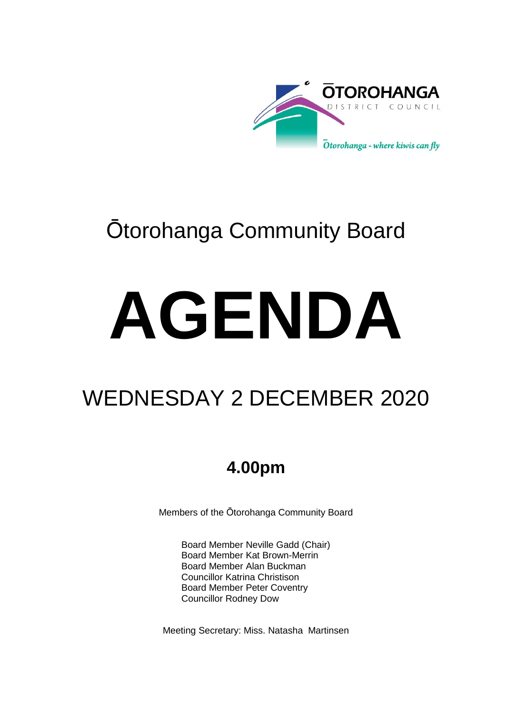

## Ōtorohanga Community Board

# **AGENDA**

## WEDNESDAY 2 DECEMBER 2020

### **4.00pm**

Members of the Ōtorohanga Community Board

Board Member Neville Gadd (Chair) Board Member Kat Brown-Merrin Board Member Alan Buckman Councillor Katrina Christison Board Member Peter Coventry Councillor Rodney Dow

Meeting Secretary: Miss. Natasha Martinsen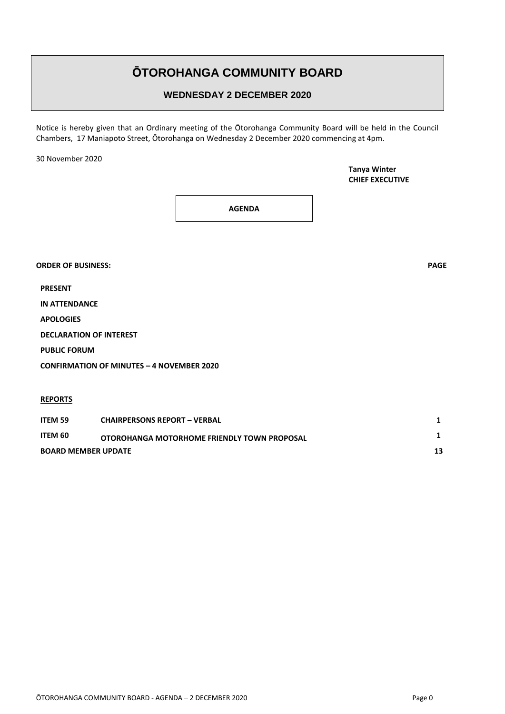#### **ŌTOROHANGA COMMUNITY BOARD**

#### **WEDNESDAY 2 DECEMBER 2020**

Notice is hereby given that an Ordinary meeting of the Ōtorohanga Community Board will be held in the Council Chambers, 17 Maniapoto Street, Ōtorohanga on Wednesday 2 December 2020 commencing at 4pm.

30 November 2020

**PRESENT**

**Tanya Winter CHIEF EXECUTIVE**

**AGENDA**

**IN ATTENDANCE APOLOGIES DECLARATION OF INTEREST PUBLIC FORUM CONFIRMATION OF MINUTES – 4 NOVEMBER 2020 REPORTS**

| <b>BOARD MEMBER UPDATE</b> |                                             |  |
|----------------------------|---------------------------------------------|--|
| ITEM 60                    | OTOROHANGA MOTORHOME FRIENDLY TOWN PROPOSAL |  |
| <b>ITEM 59</b>             | <b>CHAIRPERSONS REPORT - VERBAL</b>         |  |

**ORDER OF BUSINESS: PAGE**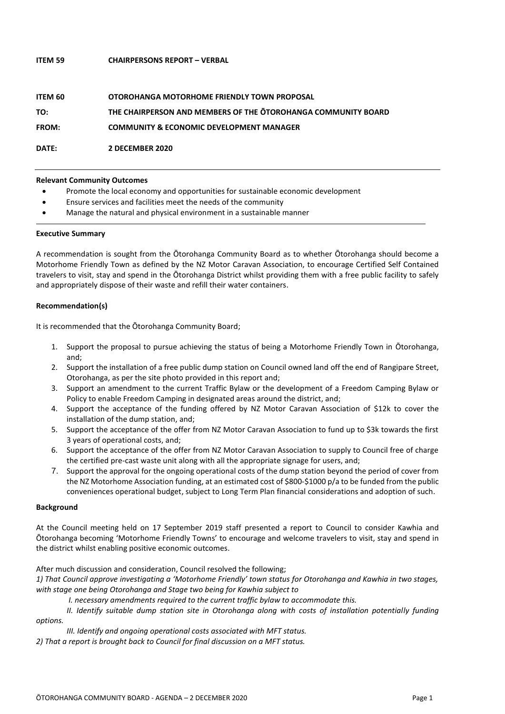#### **ITEM 59 CHAIRPERSONS REPORT – VERBAL**

| ITEM 60      | <b>OTOROHANGA MOTORHOME FRIENDLY TOWN PROPOSAL</b>            |
|--------------|---------------------------------------------------------------|
| TO:          | THE CHAIRPERSON AND MEMBERS OF THE OTOROHANGA COMMUNITY BOARD |
| <b>FROM:</b> | <b>COMMUNITY &amp; ECONOMIC DEVELOPMENT MANAGER</b>           |
| DATE:        | <b>2 DECEMBER 2020</b>                                        |

#### **Relevant Community Outcomes**

- Promote the local economy and opportunities for sustainable economic development
- Ensure services and facilities meet the needs of the community
- Manage the natural and physical environment in a sustainable manner

#### **Executive Summary**

A recommendation is sought from the Ōtorohanga Community Board as to whether Ōtorohanga should become a Motorhome Friendly Town as defined by the NZ Motor Caravan Association, to encourage Certified Self Contained travelers to visit, stay and spend in the Ōtorohanga District whilst providing them with a free public facility to safely and appropriately dispose of their waste and refill their water containers.

#### **Recommendation(s)**

It is recommended that the Ōtorohanga Community Board;

- 1. Support the proposal to pursue achieving the status of being a Motorhome Friendly Town in Ōtorohanga, and;
- 2. Support the installation of a free public dump station on Council owned land off the end of Rangipare Street, Otorohanga, as per the site photo provided in this report and;
- 3. Support an amendment to the current Traffic Bylaw or the development of a Freedom Camping Bylaw or Policy to enable Freedom Camping in designated areas around the district, and;
- 4. Support the acceptance of the funding offered by NZ Motor Caravan Association of \$12k to cover the installation of the dump station, and;
- 5. Support the acceptance of the offer from NZ Motor Caravan Association to fund up to \$3k towards the first 3 years of operational costs, and;
- 6. Support the acceptance of the offer from NZ Motor Caravan Association to supply to Council free of charge the certified pre-cast waste unit along with all the appropriate signage for users, and;
- 7. Support the approval for the ongoing operational costs of the dump station beyond the period of cover from the NZ Motorhome Association funding, at an estimated cost of \$800-\$1000 p/a to be funded from the public conveniences operational budget, subject to Long Term Plan financial considerations and adoption of such.

#### **Background**

At the Council meeting held on 17 September 2019 staff presented a report to Council to consider Kawhia and Ōtorohanga becoming 'Motorhome Friendly Towns' to encourage and welcome travelers to visit, stay and spend in the district whilst enabling positive economic outcomes.

After much discussion and consideration, Council resolved the following;

*1) That Council approve investigating a 'Motorhome Friendly' town status for Otorohanga and Kawhia in two stages, with stage one being Otorohanga and Stage two being for Kawhia subject to*

*I. necessary amendments required to the current traffic bylaw to accommodate this.* 

*II. Identify suitable dump station site in Otorohanga along with costs of installation potentially funding options.*

*III. Identify and ongoing operational costs associated with MFT status.* 

*2) That a report is brought back to Council for final discussion on a MFT status.*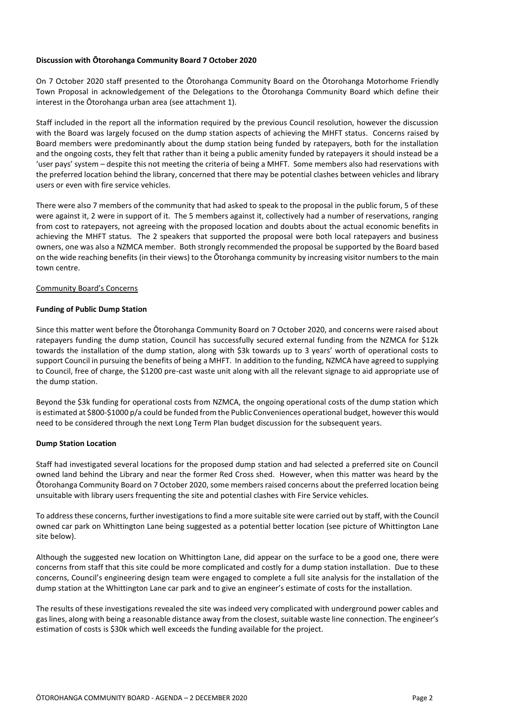#### **Discussion with Ōtorohanga Community Board 7 October 2020**

On 7 October 2020 staff presented to the Ōtorohanga Community Board on the Ōtorohanga Motorhome Friendly Town Proposal in acknowledgement of the Delegations to the Ōtorohanga Community Board which define their interest in the Ōtorohanga urban area (see attachment 1).

Staff included in the report all the information required by the previous Council resolution, however the discussion with the Board was largely focused on the dump station aspects of achieving the MHFT status. Concerns raised by Board members were predominantly about the dump station being funded by ratepayers, both for the installation and the ongoing costs, they felt that rather than it being a public amenity funded by ratepayers it should instead be a 'user pays' system – despite this not meeting the criteria of being a MHFT. Some members also had reservations with the preferred location behind the library, concerned that there may be potential clashes between vehicles and library users or even with fire service vehicles.

There were also 7 members of the community that had asked to speak to the proposal in the public forum, 5 of these were against it, 2 were in support of it. The 5 members against it, collectively had a number of reservations, ranging from cost to ratepayers, not agreeing with the proposed location and doubts about the actual economic benefits in achieving the MHFT status. The 2 speakers that supported the proposal were both local ratepayers and business owners, one was also a NZMCA member. Both strongly recommended the proposal be supported by the Board based on the wide reaching benefits (in their views) to the Ōtorohanga community by increasing visitor numbers to the main town centre.

#### Community Board's Concerns

#### **Funding of Public Dump Station**

Since this matter went before the Ōtorohanga Community Board on 7 October 2020, and concerns were raised about ratepayers funding the dump station, Council has successfully secured external funding from the NZMCA for \$12k towards the installation of the dump station, along with \$3k towards up to 3 years' worth of operational costs to support Council in pursuing the benefits of being a MHFT. In addition to the funding, NZMCA have agreed to supplying to Council, free of charge, the \$1200 pre-cast waste unit along with all the relevant signage to aid appropriate use of the dump station.

Beyond the \$3k funding for operational costs from NZMCA, the ongoing operational costs of the dump station which is estimated at \$800-\$1000 p/a could be funded from the Public Conveniences operational budget, however this would need to be considered through the next Long Term Plan budget discussion for the subsequent years.

#### **Dump Station Location**

Staff had investigated several locations for the proposed dump station and had selected a preferred site on Council owned land behind the Library and near the former Red Cross shed. However, when this matter was heard by the Ōtorohanga Community Board on 7 October 2020, some members raised concerns about the preferred location being unsuitable with library users frequenting the site and potential clashes with Fire Service vehicles.

To addressthese concerns, further investigations to find a more suitable site were carried out by staff, with the Council owned car park on Whittington Lane being suggested as a potential better location (see picture of Whittington Lane site below).

Although the suggested new location on Whittington Lane, did appear on the surface to be a good one, there were concerns from staff that this site could be more complicated and costly for a dump station installation. Due to these concerns, Council's engineering design team were engaged to complete a full site analysis for the installation of the dump station at the Whittington Lane car park and to give an engineer's estimate of costs for the installation.

The results of these investigations revealed the site was indeed very complicated with underground power cables and gas lines, along with being a reasonable distance away from the closest, suitable waste line connection. The engineer's estimation of costs is \$30k which well exceeds the funding available for the project.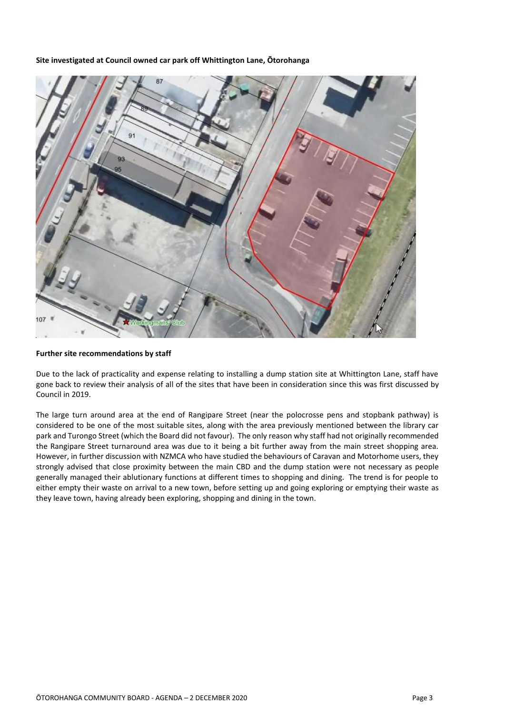**Site investigated at Council owned car park off Whittington Lane, Ōtorohanga**



#### **Further site recommendations by staff**

Due to the lack of practicality and expense relating to installing a dump station site at Whittington Lane, staff have gone back to review their analysis of all of the sites that have been in consideration since this was first discussed by Council in 2019.

The large turn around area at the end of Rangipare Street (near the polocrosse pens and stopbank pathway) is considered to be one of the most suitable sites, along with the area previously mentioned between the library car park and Turongo Street (which the Board did not favour). The only reason why staff had not originally recommended the Rangipare Street turnaround area was due to it being a bit further away from the main street shopping area. However, in further discussion with NZMCA who have studied the behaviours of Caravan and Motorhome users, they strongly advised that close proximity between the main CBD and the dump station were not necessary as people generally managed their ablutionary functions at different times to shopping and dining. The trend is for people to either empty their waste on arrival to a new town, before setting up and going exploring or emptying their waste as they leave town, having already been exploring, shopping and dining in the town.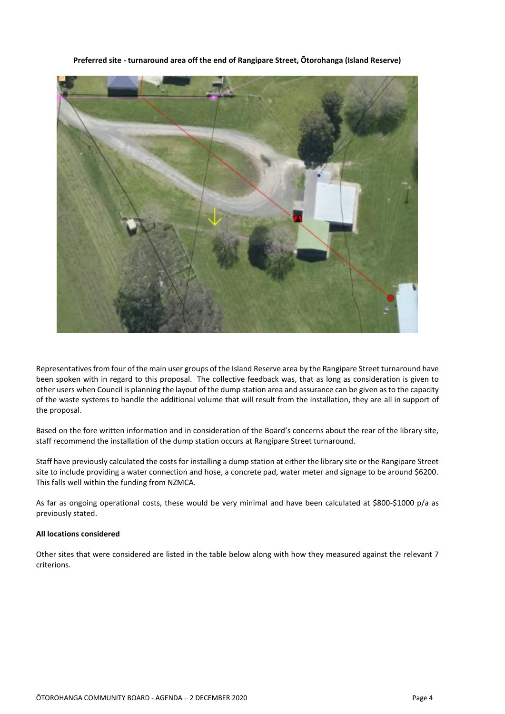**Preferred site - turnaround area off the end of Rangipare Street, Ōtorohanga (Island Reserve)**

Representatives from four of the main user groups of the Island Reserve area by the Rangipare Street turnaround have been spoken with in regard to this proposal. The collective feedback was, that as long as consideration is given to other users when Council is planning the layout of the dump station area and assurance can be given as to the capacity of the waste systems to handle the additional volume that will result from the installation, they are all in support of the proposal.

Based on the fore written information and in consideration of the Board's concerns about the rear of the library site, staff recommend the installation of the dump station occurs at Rangipare Street turnaround.

Staff have previously calculated the costs for installing a dump station at either the library site or the Rangipare Street site to include providing a water connection and hose, a concrete pad, water meter and signage to be around \$6200. This falls well within the funding from NZMCA.

As far as ongoing operational costs, these would be very minimal and have been calculated at \$800-\$1000 p/a as previously stated.

#### **All locations considered**

Other sites that were considered are listed in the table below along with how they measured against the relevant 7 criterions.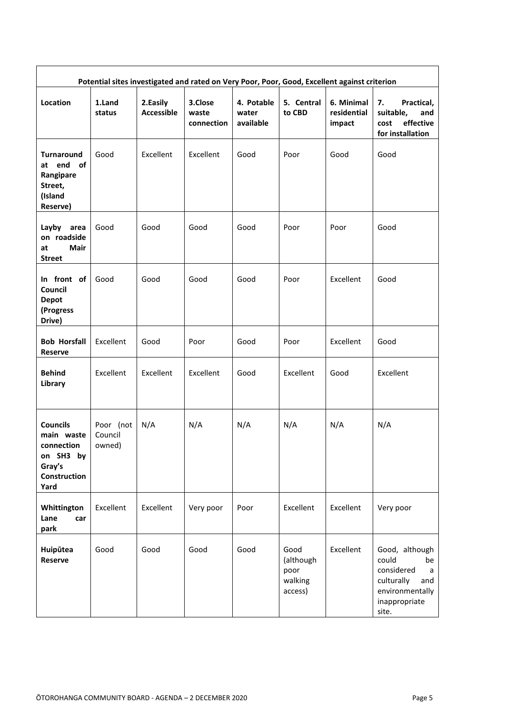| Potential sites investigated and rated on Very Poor, Poor, Good, Excellent against criterion |                                |                               |                                |                                  |                                                 |                                     |                                                                                                                    |  |
|----------------------------------------------------------------------------------------------|--------------------------------|-------------------------------|--------------------------------|----------------------------------|-------------------------------------------------|-------------------------------------|--------------------------------------------------------------------------------------------------------------------|--|
| Location                                                                                     | 1.Land<br>status               | 2.Easily<br><b>Accessible</b> | 3.Close<br>waste<br>connection | 4. Potable<br>water<br>available | 5. Central<br>to CBD                            | 6. Minimal<br>residential<br>impact | 7.<br>Practical,<br>suitable,<br>and<br>effective<br>cost<br>for installation                                      |  |
| <b>Turnaround</b><br>at end of<br>Rangipare<br>Street,<br>(Island<br>Reserve)                | Good                           | Excellent                     | Excellent                      | Good                             | Poor                                            | Good                                | Good                                                                                                               |  |
| Layby<br>area<br>on roadside<br><b>Mair</b><br>at<br><b>Street</b>                           | Good                           | Good                          | Good                           | Good                             | Poor                                            | Poor                                | Good                                                                                                               |  |
| In front of<br>Council<br><b>Depot</b><br>(Progress<br>Drive)                                | Good                           | Good                          | Good                           | Good                             | Poor                                            | Excellent                           | Good                                                                                                               |  |
| <b>Bob Horsfall</b><br><b>Reserve</b>                                                        | Excellent                      | Good                          | Poor                           | Good                             | Poor                                            | Excellent                           | Good                                                                                                               |  |
| <b>Behind</b><br>Library                                                                     | Excellent                      | Excellent                     | Excellent                      | Good                             | Excellent                                       | Good                                | Excellent                                                                                                          |  |
| <b>Councils</b><br>main waste<br>connection<br>on SH3 by<br>Gray's<br>Construction<br>Yard   | Poor (not<br>Council<br>owned) | N/A                           | N/A                            | N/A                              | N/A                                             | N/A                                 | N/A                                                                                                                |  |
| Whittington<br>Lane<br>car<br>park                                                           | Excellent                      | Excellent                     | Very poor                      | Poor                             | Excellent                                       | Excellent                           | Very poor                                                                                                          |  |
| Huipūtea<br><b>Reserve</b>                                                                   | Good                           | Good                          | Good                           | Good                             | Good<br>(although<br>poor<br>walking<br>access) | Excellent                           | Good, although<br>could<br>be<br>considered<br>a<br>culturally<br>and<br>environmentally<br>inappropriate<br>site. |  |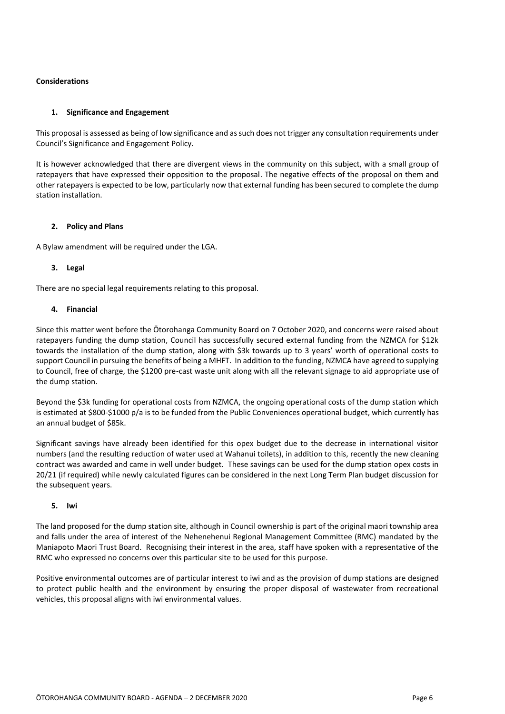#### **Considerations**

#### **1. Significance and Engagement**

This proposal is assessed as being of low significance and as such does not trigger any consultation requirements under Council's Significance and Engagement Policy.

It is however acknowledged that there are divergent views in the community on this subject, with a small group of ratepayers that have expressed their opposition to the proposal. The negative effects of the proposal on them and other ratepayers is expected to be low, particularly now that external funding has been secured to complete the dump station installation.

#### **2. Policy and Plans**

A Bylaw amendment will be required under the LGA.

#### **3. Legal**

There are no special legal requirements relating to this proposal.

#### **4. Financial**

Since this matter went before the Ōtorohanga Community Board on 7 October 2020, and concerns were raised about ratepayers funding the dump station, Council has successfully secured external funding from the NZMCA for \$12k towards the installation of the dump station, along with \$3k towards up to 3 years' worth of operational costs to support Council in pursuing the benefits of being a MHFT. In addition to the funding, NZMCA have agreed to supplying to Council, free of charge, the \$1200 pre-cast waste unit along with all the relevant signage to aid appropriate use of the dump station.

Beyond the \$3k funding for operational costs from NZMCA, the ongoing operational costs of the dump station which is estimated at \$800-\$1000 p/a is to be funded from the Public Conveniences operational budget, which currently has an annual budget of \$85k.

Significant savings have already been identified for this opex budget due to the decrease in international visitor numbers (and the resulting reduction of water used at Wahanui toilets), in addition to this, recently the new cleaning contract was awarded and came in well under budget. These savings can be used for the dump station opex costs in 20/21 (if required) while newly calculated figures can be considered in the next Long Term Plan budget discussion for the subsequent years.

#### **5. Iwi**

The land proposed for the dump station site, although in Council ownership is part of the original maori township area and falls under the area of interest of the Nehenehenui Regional Management Committee (RMC) mandated by the Maniapoto Maori Trust Board. Recognising their interest in the area, staff have spoken with a representative of the RMC who expressed no concerns over this particular site to be used for this purpose.

Positive environmental outcomes are of particular interest to iwi and as the provision of dump stations are designed to protect public health and the environment by ensuring the proper disposal of wastewater from recreational vehicles, this proposal aligns with iwi environmental values.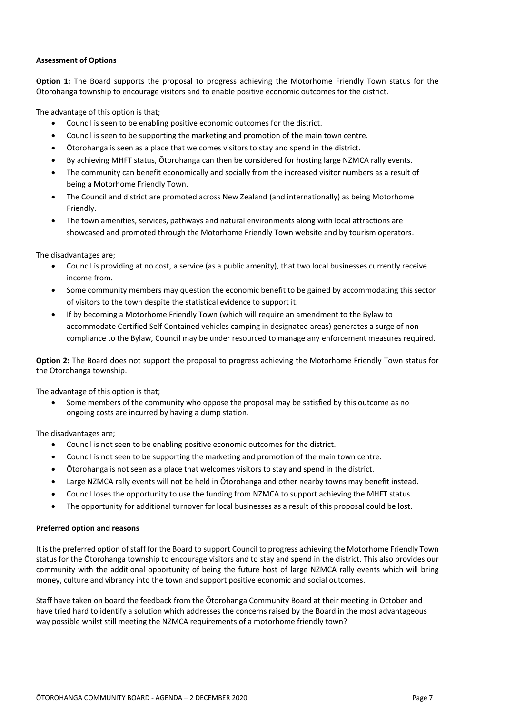#### **Assessment of Options**

**Option 1:** The Board supports the proposal to progress achieving the Motorhome Friendly Town status for the Ōtorohanga township to encourage visitors and to enable positive economic outcomes for the district.

The advantage of this option is that;

- Council is seen to be enabling positive economic outcomes for the district.
- Council is seen to be supporting the marketing and promotion of the main town centre.
- Ōtorohanga is seen as a place that welcomes visitors to stay and spend in the district.
- By achieving MHFT status, Ōtorohanga can then be considered for hosting large NZMCA rally events.
- The community can benefit economically and socially from the increased visitor numbers as a result of being a Motorhome Friendly Town.
- The Council and district are promoted across New Zealand (and internationally) as being Motorhome Friendly.
- The town amenities, services, pathways and natural environments along with local attractions are showcased and promoted through the Motorhome Friendly Town website and by tourism operators.

The disadvantages are;

- Council is providing at no cost, a service (as a public amenity), that two local businesses currently receive income from.
- Some community members may question the economic benefit to be gained by accommodating this sector of visitors to the town despite the statistical evidence to support it.
- If by becoming a Motorhome Friendly Town (which will require an amendment to the Bylaw to accommodate Certified Self Contained vehicles camping in designated areas) generates a surge of noncompliance to the Bylaw, Council may be under resourced to manage any enforcement measures required.

**Option 2:** The Board does not support the proposal to progress achieving the Motorhome Friendly Town status for the Ōtorohanga township.

The advantage of this option is that;

 Some members of the community who oppose the proposal may be satisfied by this outcome as no ongoing costs are incurred by having a dump station.

The disadvantages are;

- Council is not seen to be enabling positive economic outcomes for the district.
- Council is not seen to be supporting the marketing and promotion of the main town centre.
- Ōtorohanga is not seen as a place that welcomes visitors to stay and spend in the district.
- Large NZMCA rally events will not be held in Ōtorohanga and other nearby towns may benefit instead.
- Council loses the opportunity to use the funding from NZMCA to support achieving the MHFT status.
- The opportunity for additional turnover for local businesses as a result of this proposal could be lost.

#### **Preferred option and reasons**

It is the preferred option of staff for the Board to support Council to progress achieving the Motorhome Friendly Town status for the Ōtorohanga township to encourage visitors and to stay and spend in the district. This also provides our community with the additional opportunity of being the future host of large NZMCA rally events which will bring money, culture and vibrancy into the town and support positive economic and social outcomes.

Staff have taken on board the feedback from the Ōtorohanga Community Board at their meeting in October and have tried hard to identify a solution which addresses the concerns raised by the Board in the most advantageous way possible whilst still meeting the NZMCA requirements of a motorhome friendly town?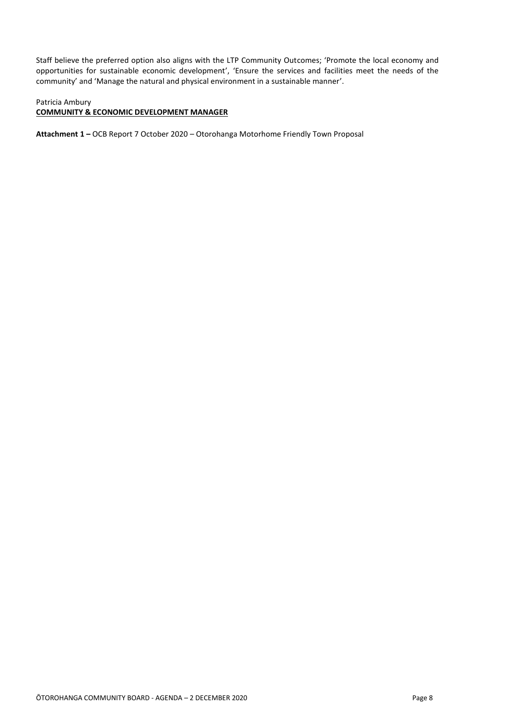Staff believe the preferred option also aligns with the LTP Community Outcomes; 'Promote the local economy and opportunities for sustainable economic development', 'Ensure the services and facilities meet the needs of the community' and 'Manage the natural and physical environment in a sustainable manner'.

#### Patricia Ambury

#### **COMMUNITY & ECONOMIC DEVELOPMENT MANAGER**

**Attachment 1 –** OCB Report 7 October 2020 – Otorohanga Motorhome Friendly Town Proposal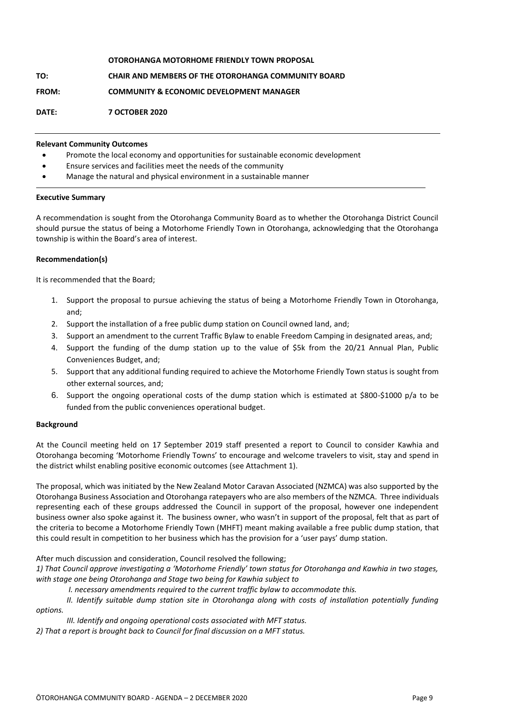|              | OTOROHANGA MOTORHOME FRIENDLY TOWN PROPOSAL                |
|--------------|------------------------------------------------------------|
| TO:          | <b>CHAIR AND MEMBERS OF THE OTOROHANGA COMMUNITY BOARD</b> |
| <b>FROM:</b> | <b>COMMUNITY &amp; ECONOMIC DEVELOPMENT MANAGER</b>        |
| DATE:        | <b>7 OCTOBER 2020</b>                                      |

#### **Relevant Community Outcomes**

- Promote the local economy and opportunities for sustainable economic development
- Ensure services and facilities meet the needs of the community
- Manage the natural and physical environment in a sustainable manner

#### **Executive Summary**

A recommendation is sought from the Otorohanga Community Board as to whether the Otorohanga District Council should pursue the status of being a Motorhome Friendly Town in Otorohanga, acknowledging that the Otorohanga township is within the Board's area of interest.

#### **Recommendation(s)**

It is recommended that the Board;

- 1. Support the proposal to pursue achieving the status of being a Motorhome Friendly Town in Otorohanga, and;
- 2. Support the installation of a free public dump station on Council owned land, and;
- 3. Support an amendment to the current Traffic Bylaw to enable Freedom Camping in designated areas, and;
- 4. Support the funding of the dump station up to the value of \$5k from the 20/21 Annual Plan, Public Conveniences Budget, and;
- 5. Support that any additional funding required to achieve the Motorhome Friendly Town status is sought from other external sources, and;
- 6. Support the ongoing operational costs of the dump station which is estimated at \$800-\$1000 p/a to be funded from the public conveniences operational budget.

#### **Background**

At the Council meeting held on 17 September 2019 staff presented a report to Council to consider Kawhia and Otorohanga becoming 'Motorhome Friendly Towns' to encourage and welcome travelers to visit, stay and spend in the district whilst enabling positive economic outcomes (see Attachment 1).

The proposal, which was initiated by the New Zealand Motor Caravan Associated (NZMCA) was also supported by the Otorohanga Business Association and Otorohanga ratepayers who are also members of the NZMCA. Three individuals representing each of these groups addressed the Council in support of the proposal, however one independent business owner also spoke against it. The business owner, who wasn't in support of the proposal, felt that as part of the criteria to become a Motorhome Friendly Town (MHFT) meant making available a free public dump station, that this could result in competition to her business which has the provision for a 'user pays' dump station.

After much discussion and consideration, Council resolved the following;

*1) That Council approve investigating a 'Motorhome Friendly' town status for Otorohanga and Kawhia in two stages, with stage one being Otorohanga and Stage two being for Kawhia subject to*

- *I. necessary amendments required to the current traffic bylaw to accommodate this.*
- *II. Identify suitable dump station site in Otorohanga along with costs of installation potentially funding options.*

*III. Identify and ongoing operational costs associated with MFT status.* 

*2) That a report is brought back to Council for final discussion on a MFT status.*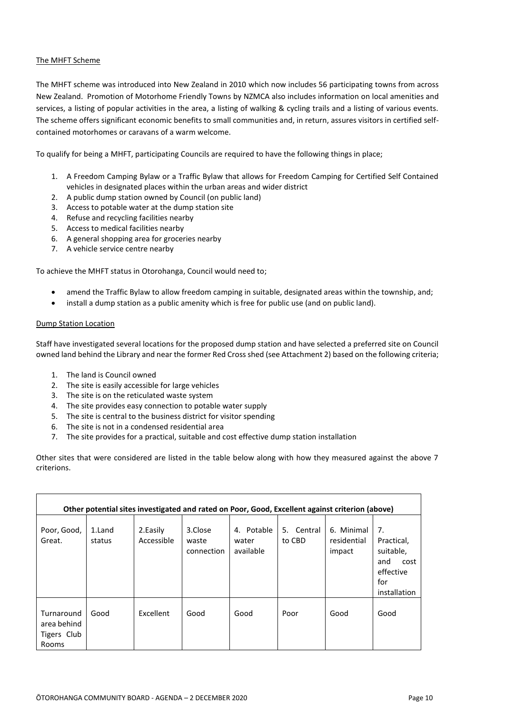#### The MHFT Scheme

The MHFT scheme was introduced into New Zealand in 2010 which now includes 56 participating towns from across New Zealand. Promotion of Motorhome Friendly Towns by NZMCA also includes information on local amenities and services, a listing of popular activities in the area, a listing of walking & cycling trails and a listing of various events. The scheme offers significant economic benefits to small communities and, in return, assures visitors in certified selfcontained motorhomes or caravans of a warm welcome.

To qualify for being a MHFT, participating Councils are required to have the following things in place;

- 1. A Freedom Camping Bylaw or a Traffic Bylaw that allows for Freedom Camping for Certified Self Contained vehicles in designated places within the urban areas and wider district
- 2. A public dump station owned by Council (on public land)
- 3. Access to potable water at the dump station site
- 4. Refuse and recycling facilities nearby
- 5. Access to medical facilities nearby
- 6. A general shopping area for groceries nearby
- 7. A vehicle service centre nearby

To achieve the MHFT status in Otorohanga, Council would need to;

- amend the Traffic Bylaw to allow freedom camping in suitable, designated areas within the township, and;
- install a dump station as a public amenity which is free for public use (and on public land).

#### Dump Station Location

Staff have investigated several locations for the proposed dump station and have selected a preferred site on Council owned land behind the Library and near the former Red Cross shed (see Attachment 2) based on the following criteria;

- 1. The land is Council owned
- 2. The site is easily accessible for large vehicles
- 3. The site is on the reticulated waste system
- 4. The site provides easy connection to potable water supply
- 5. The site is central to the business district for visitor spending
- 6. The site is not in a condensed residential area
- 7. The site provides for a practical, suitable and cost effective dump station installation

Other sites that were considered are listed in the table below along with how they measured against the above 7 criterions.

| Other potential sites investigated and rated on Poor, Good, Excellent against criterion (above) |                  |                         |                                |                                  |                      |                                     |                                                                                  |  |  |
|-------------------------------------------------------------------------------------------------|------------------|-------------------------|--------------------------------|----------------------------------|----------------------|-------------------------------------|----------------------------------------------------------------------------------|--|--|
| Poor, Good,<br>Great.                                                                           | 1.Land<br>status | 2. Easily<br>Accessible | 3.Close<br>waste<br>connection | 4. Potable<br>water<br>available | 5. Central<br>to CBD | 6. Minimal<br>residential<br>impact | 7.<br>Practical,<br>suitable,<br>and<br>cost<br>effective<br>for<br>installation |  |  |
| Turnaround<br>area behind<br>Tigers Club<br>Rooms                                               | Good             | Excellent               | Good                           | Good                             | Poor                 | Good                                | Good                                                                             |  |  |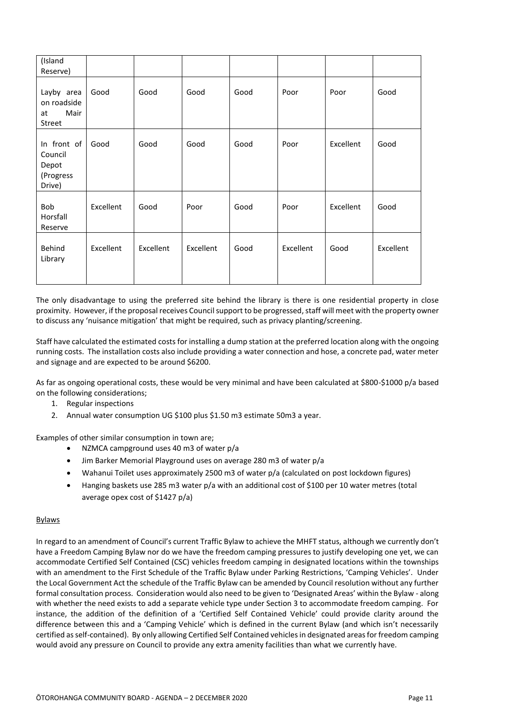| (Island<br>Reserve)                                    |           |           |           |      |           |           |           |
|--------------------------------------------------------|-----------|-----------|-----------|------|-----------|-----------|-----------|
| Layby area<br>on roadside<br>Mair<br>at<br>Street      | Good      | Good      | Good      | Good | Poor      | Poor      | Good      |
| In front of<br>Council<br>Depot<br>(Progress<br>Drive) | Good      | Good      | Good      | Good | Poor      | Excellent | Good      |
| Bob<br>Horsfall<br>Reserve                             | Excellent | Good      | Poor      | Good | Poor      | Excellent | Good      |
| Behind<br>Library                                      | Excellent | Excellent | Excellent | Good | Excellent | Good      | Excellent |

The only disadvantage to using the preferred site behind the library is there is one residential property in close proximity. However, if the proposal receives Council support to be progressed,staff will meet with the property owner to discuss any 'nuisance mitigation' that might be required, such as privacy planting/screening.

Staff have calculated the estimated costs for installing a dump station at the preferred location along with the ongoing running costs. The installation costs also include providing a water connection and hose, a concrete pad, water meter and signage and are expected to be around \$6200.

As far as ongoing operational costs, these would be very minimal and have been calculated at \$800-\$1000 p/a based on the following considerations;

- 1. Regular inspections
- 2. Annual water consumption UG \$100 plus \$1.50 m3 estimate 50m3 a year.

Examples of other similar consumption in town are;

- NZMCA campground uses 40 m3 of water p/a
- Jim Barker Memorial Playground uses on average 280 m3 of water p/a
- Wahanui Toilet uses approximately 2500 m3 of water p/a (calculated on post lockdown figures)
- Hanging baskets use 285 m3 water p/a with an additional cost of \$100 per 10 water metres (total average opex cost of \$1427 p/a)

#### **Bylaws**

In regard to an amendment of Council's current Traffic Bylaw to achieve the MHFT status, although we currently don't have a Freedom Camping Bylaw nor do we have the freedom camping pressures to justify developing one yet, we can accommodate Certified Self Contained (CSC) vehicles freedom camping in designated locations within the townships with an amendment to the First Schedule of the Traffic Bylaw under Parking Restrictions, 'Camping Vehicles'. Under the Local Government Act the schedule of the Traffic Bylaw can be amended by Council resolution without any further formal consultation process. Consideration would also need to be given to 'Designated Areas' within the Bylaw - along with whether the need exists to add a separate vehicle type under Section 3 to accommodate freedom camping. For instance, the addition of the definition of a 'Certified Self Contained Vehicle' could provide clarity around the difference between this and a 'Camping Vehicle' which is defined in the current Bylaw (and which isn't necessarily certified as self-contained). By only allowing Certified Self Contained vehicles in designated areas for freedom camping would avoid any pressure on Council to provide any extra amenity facilities than what we currently have.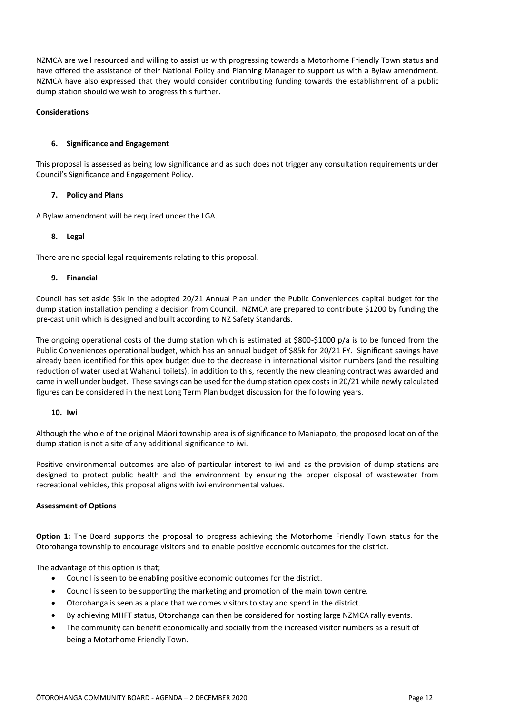NZMCA are well resourced and willing to assist us with progressing towards a Motorhome Friendly Town status and have offered the assistance of their National Policy and Planning Manager to support us with a Bylaw amendment. NZMCA have also expressed that they would consider contributing funding towards the establishment of a public dump station should we wish to progress this further.

#### **Considerations**

#### **6. Significance and Engagement**

This proposal is assessed as being low significance and as such does not trigger any consultation requirements under Council's Significance and Engagement Policy.

#### **7. Policy and Plans**

A Bylaw amendment will be required under the LGA.

#### **8. Legal**

There are no special legal requirements relating to this proposal.

#### **9. Financial**

Council has set aside \$5k in the adopted 20/21 Annual Plan under the Public Conveniences capital budget for the dump station installation pending a decision from Council. NZMCA are prepared to contribute \$1200 by funding the pre-cast unit which is designed and built according to NZ Safety Standards.

The ongoing operational costs of the dump station which is estimated at \$800-\$1000 p/a is to be funded from the Public Conveniences operational budget, which has an annual budget of \$85k for 20/21 FY. Significant savings have already been identified for this opex budget due to the decrease in international visitor numbers (and the resulting reduction of water used at Wahanui toilets), in addition to this, recently the new cleaning contract was awarded and came in well under budget. These savings can be used for the dump station opex costs in 20/21 while newly calculated figures can be considered in the next Long Term Plan budget discussion for the following years.

#### **10. Iwi**

Although the whole of the original Māori township area is of significance to Maniapoto, the proposed location of the dump station is not a site of any additional significance to iwi.

Positive environmental outcomes are also of particular interest to iwi and as the provision of dump stations are designed to protect public health and the environment by ensuring the proper disposal of wastewater from recreational vehicles, this proposal aligns with iwi environmental values.

#### **Assessment of Options**

**Option 1:** The Board supports the proposal to progress achieving the Motorhome Friendly Town status for the Otorohanga township to encourage visitors and to enable positive economic outcomes for the district.

The advantage of this option is that;

- Council is seen to be enabling positive economic outcomes for the district.
- Council is seen to be supporting the marketing and promotion of the main town centre.
- Otorohanga is seen as a place that welcomes visitors to stay and spend in the district.
- By achieving MHFT status, Otorohanga can then be considered for hosting large NZMCA rally events.
- The community can benefit economically and socially from the increased visitor numbers as a result of being a Motorhome Friendly Town.